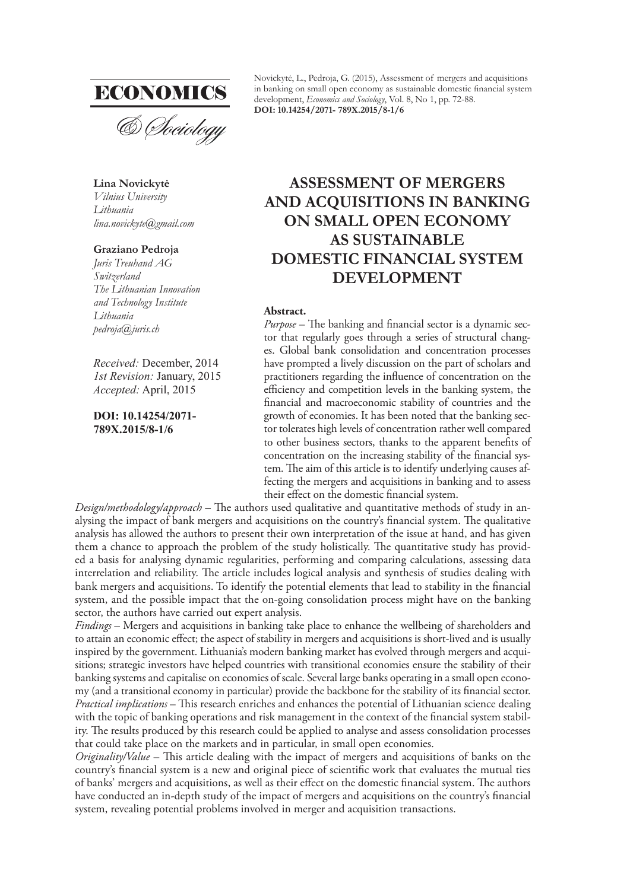

**Lina Novickytė** *Vilnius University Lithuania lina.novickyte@gmail.com* 

#### **Graziano Pedroja**

*Juris Treuhand AG Switzerland The Lithuanian Innovation and Technology Institute Lithuania pedroja@juris.ch*

*Received:* December, 2014 *1st Revision:* January, 2015 *Accepted:* April, 2015

**DOI: 10.14254/2071- 789X.2015/8-1/6**

Novickytė, L., Pedroja, G. (2015), Assessment of mergers and acquisitions in banking on small open economy as sustainable domestic financial system development, *Economics and Sociology*, Vol. 8, No 1, pp. 72-88. **DOI: 10.14254/2071- 789X.2015/8-1/6**

# **ASSESSMENT OF MERGERS AND ACQUISITIONS IN BANKING ON SMALL OPEN ECONOMY AS SUSTAINABLE DOMESTIC FINANCIAL SYSTEM DEVELOPMENT**

#### **Abstract.**

*Purpose* – The banking and financial sector is a dynamic sector that regularly goes through a series of structural changes. Global bank consolidation and concentration processes have prompted a lively discussion on the part of scholars and practitioners regarding the influence of concentration on the efficiency and competition levels in the banking system, the financial and macroeconomic stability of countries and the growth of economies. It has been noted that the banking sector tolerates high levels of concentration rather well compared to other business sectors, thanks to the apparent benefits of concentration on the increasing stability of the financial system. The aim of this article is to identify underlying causes affecting the mergers and acquisitions in banking and to assess their effect on the domestic financial system.

*Design/methodology/approach* – The authors used qualitative and quantitative methods of study in analysing the impact of bank mergers and acquisitions on the country's financial system. The qualitative analysis has allowed the authors to present their own interpretation of the issue at hand, and has given them a chance to approach the problem of the study holistically. The quantitative study has provided a basis for analysing dynamic regularities, performing and comparing calculations, assessing data interrelation and reliability. The article includes logical analysis and synthesis of studies dealing with bank mergers and acquisitions. To identify the potential elements that lead to stability in the financial system, and the possible impact that the on-going consolidation process might have on the banking sector, the authors have carried out expert analysis.

*Findings* – Mergers and acquisitions in banking take place to enhance the wellbeing of shareholders and to attain an economic effect; the aspect of stability in mergers and acquisitions is short-lived and is usually inspired by the government. Lithuania's modern banking market has evolved through mergers and acquisitions; strategic investors have helped countries with transitional economies ensure the stability of their banking systems and capitalise on economies of scale. Several large banks operating in a small open economy (and a transitional economy in particular) provide the backbone for the stability of its financial sector. *Practical implications* - This research enriches and enhances the potential of Lithuanian science dealing with the topic of banking operations and risk management in the context of the financial system stability. The results produced by this research could be applied to analyse and assess consolidation processes that could take place on the markets and in particular, in small open economies.

*Originality/Value* – This article dealing with the impact of mergers and acquisitions of banks on the country's financial system is a new and original piece of scientific work that evaluates the mutual ties of banks' mergers and acquisitions, as well as their effect on the domestic financial system. The authors have conducted an in-depth study of the impact of mergers and acquisitions on the country's financial system, revealing potential problems involved in merger and acquisition transactions.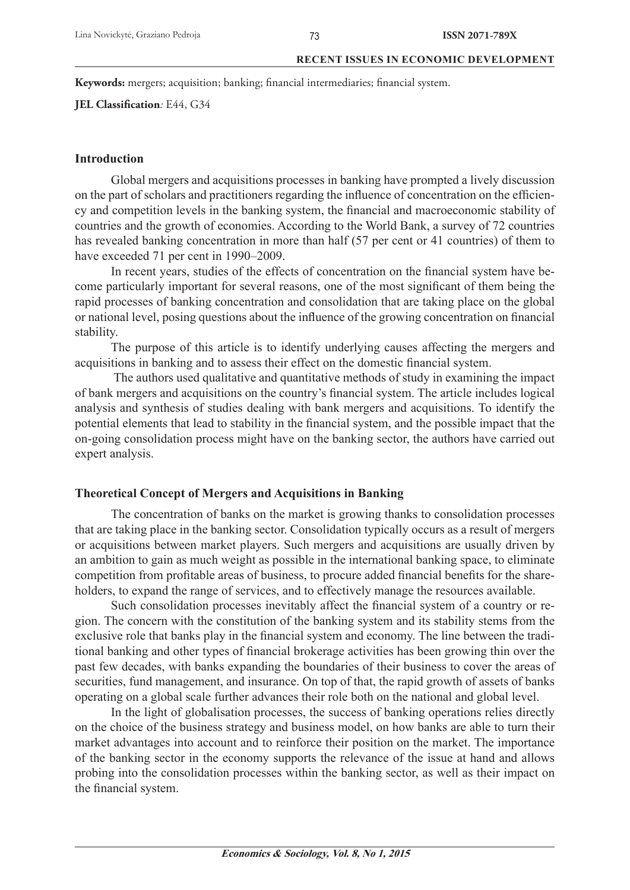Keywords: mergers; acquisition; banking; financial intermediaries; financial system.

**JEL Classification**: E44, G34

# **Introduction**

Global mergers and acquisitions processes in banking have prompted a lively discussion on the part of scholars and practitioners regarding the influence of concentration on the efficiency and competition levels in the banking system, the financial and macroeconomic stability of countries and the growth of economies. According to the World Bank, a survey of 72 countries has revealed banking concentration in more than half (57 per cent or 41 countries) of them to have exceeded 71 per cent in 1990–2009.

In recent years, studies of the effects of concentration on the financial system have become particularly important for several reasons, one of the most significant of them being the rapid processes of banking concentration and consolidation that are taking place on the global or national level, posing questions about the influence of the growing concentration on financial stability.

The purpose of this article is to identify underlying causes affecting the mergers and acquisitions in banking and to assess their effect on the domestic financial system.

 The authors used qualitative and quantitative methods of study in examining the impact of bank mergers and acquisitions on the country's financial system. The article includes logical analysis and synthesis of studies dealing with bank mergers and acquisitions. To identify the potential elements that lead to stability in the financial system, and the possible impact that the on-going consolidation process might have on the banking sector, the authors have carried out expert analysis.

# **Theoretical Concept of Mergers and Acquisitions in Banking**

The concentration of banks on the market is growing thanks to consolidation processes that are taking place in the banking sector. Consolidation typically occurs as a result of mergers or acquisitions between market players. Such mergers and acquisitions are usually driven by an ambition to gain as much weight as possible in the international banking space, to eliminate competition from profitable areas of business, to procure added financial benefits for the shareholders, to expand the range of services, and to effectively manage the resources available.

Such consolidation processes inevitably affect the financial system of a country or region. The concern with the constitution of the banking system and its stability stems from the exclusive role that banks play in the financial system and economy. The line between the traditional banking and other types of financial brokerage activities has been growing thin over the past few decades, with banks expanding the boundaries of their business to cover the areas of securities, fund management, and insurance. On top of that, the rapid growth of assets of banks operating on a global scale further advances their role both on the national and global level.

In the light of globalisation processes, the success of banking operations relies directly on the choice of the business strategy and business model, on how banks are able to turn their market advantages into account and to reinforce their position on the market. The importance of the banking sector in the economy supports the relevance of the issue at hand and allows probing into the consolidation processes within the banking sector, as well as their impact on the financial system.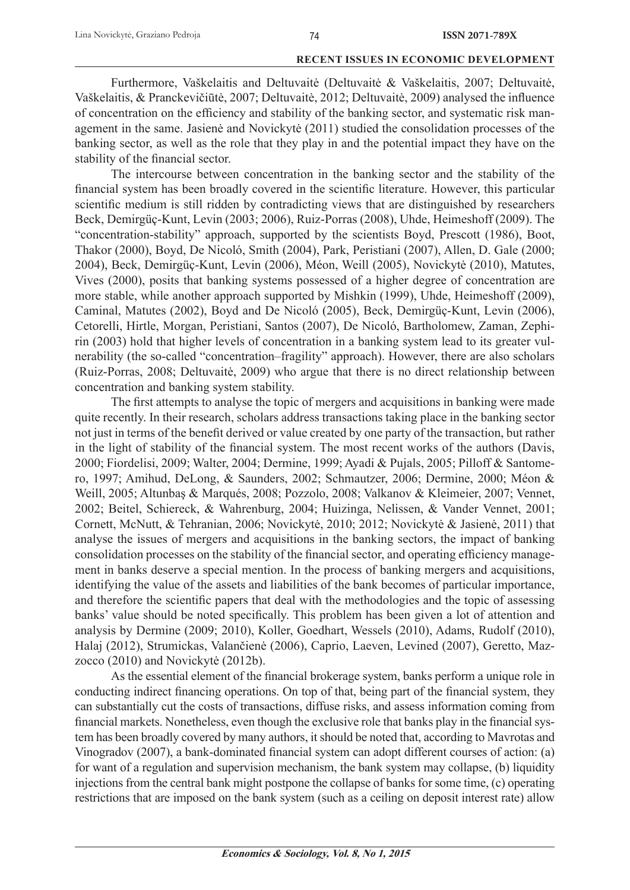Furthermore, Vaškelaitis and Deltuvaitė (Deltuvaitė & Vaškelaitis, 2007; Deltuvaitė, Vaškelaitis, & Pranckevičiūtė, 2007; Deltuvaitė, 2012; Deltuvaitė, 2009) analysed the influence of concentration on the efficiency and stability of the banking sector, and systematic risk management in the same. Jasienė and Novickytė (2011) studied the consolidation processes of the banking sector, as well as the role that they play in and the potential impact they have on the stability of the financial sector.

The intercourse between concentration in the banking sector and the stability of the financial system has been broadly covered in the scientific literature. However, this particular scientific medium is still ridden by contradicting views that are distinguished by researchers Beck, Demirgüç-Kunt, Levin (2003; 2006), Ruiz-Porras (2008), Uhde, Heimeshoff (2009). The "concentration-stability" approach, supported by the scientists Boyd, Prescott (1986), Boot, Thakor (2000), Boyd, De Nicoló, Smith (2004), Park, Peristiani (2007), Allen, D. Gale (2000; 2004), Beck, Demirgüç-Kunt, Levin (2006), Méon, Weill (2005), Novickytė (2010), Matutes, Vives (2000), posits that banking systems possessed of a higher degree of concentration are more stable, while another approach supported by Mishkin (1999), Uhde, Heimeshoff (2009), Caminal, Matutes (2002), Boyd and De Nicoló (2005), Beck, Demirgüç-Kunt, Levin (2006), Cetorelli, Hirtle, Morgan, Peristiani, Santos (2007), De Nicoló, Bartholomew, Zaman, Zephirin (2003) hold that higher levels of concentration in a banking system lead to its greater vulnerability (the so-called "concentration–fragility" approach). However, there are also scholars (Ruiz-Porras, 2008; Deltuvaitė, 2009) who argue that there is no direct relationship between concentration and banking system stability.

The first attempts to analyse the topic of mergers and acquisitions in banking were made quite recently. In their research, scholars address transactions taking place in the banking sector not just in terms of the benefit derived or value created by one party of the transaction, but rather in the light of stability of the financial system. The most recent works of the authors (Davis, 2000; Fiordelisi, 2009; Walter, 2004; Dermine, 1999; Ayadi & Pujals, 2005; Pilloff & Santomero, 1997; Amihud, DeLong, & Saunders, 2002; Schmautzer, 2006; Dermine, 2000; Méon & Weill, 2005; Altunbaş & Marqués, 2008; Pozzolo, 2008; Valkanov & Kleimeier, 2007; Vennet, 2002; Beitel, Schiereck, & Wahrenburg, 2004; Huizinga, Nelissen, & Vander Vennet, 2001; Cornett, McNutt, & Tehranian, 2006; Novickytė, 2010; 2012; Novickytė & Jasienė, 2011) that analyse the issues of mergers and acquisitions in the banking sectors, the impact of banking consolidation processes on the stability of the financial sector, and operating efficiency management in banks deserve a special mention. In the process of banking mergers and acquisitions, identifying the value of the assets and liabilities of the bank becomes of particular importance, and therefore the scientific papers that deal with the methodologies and the topic of assessing banks' value should be noted specifically. This problem has been given a lot of attention and analysis by Dermine (2009; 2010), Koller, Goedhart, Wessels (2010), Adams, Rudolf (2010), Halaj (2012), Strumickas, Valančienė (2006), Caprio, Laeven, Levined (2007), Geretto, Mazzocco (2010) and Novickytė (2012b).

As the essential element of the financial brokerage system, banks perform a unique role in conducting indirect financing operations. On top of that, being part of the financial system, they can substantially cut the costs of transactions, diffuse risks, and assess information coming from financial markets. Nonetheless, even though the exclusive role that banks play in the financial system has been broadly covered by many authors, it should be noted that, according to Mavrotas and Vinogradov (2007), a bank-dominated financial system can adopt different courses of action: (a) for want of a regulation and supervision mechanism, the bank system may collapse, (b) liquidity injections from the central bank might postpone the collapse of banks for some time, (c) operating restrictions that are imposed on the bank system (such as a ceiling on deposit interest rate) allow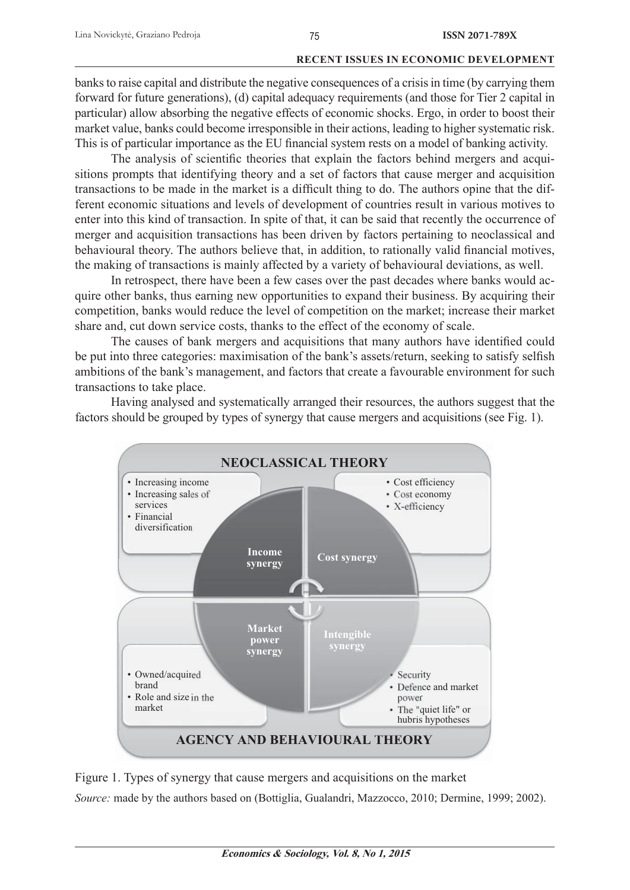banks to raise capital and distribute the negative consequences of a crisis in time (by carrying them forward for future generations), (d) capital adequacy requirements (and those for Tier 2 capital in particular) allow absorbing the negative effects of economic shocks. Ergo, in order to boost their market value, banks could become irresponsible in their actions, leading to higher systematic risk. This is of particular importance as the EU financial system rests on a model of banking activity.

The analysis of scientific theories that explain the factors behind mergers and acquisitions prompts that identifying theory and a set of factors that cause merger and acquisition transactions to be made in the market is a difficult thing to do. The authors opine that the different economic situations and levels of development of countries result in various motives to enter into this kind of transaction. In spite of that, it can be said that recently the occurrence of merger and acquisition transactions has been driven by factors pertaining to neoclassical and behavioural theory. The authors believe that, in addition, to rationally valid financial motives, the making of transactions is mainly affected by a variety of behavioural deviations, as well.

In retrospect, there have been a few cases over the past decades where banks would acquire other banks, thus earning new opportunities to expand their business. By acquiring their competition, banks would reduce the level of competition on the market; increase their market share and, cut down service costs, thanks to the effect of the economy of scale.

The causes of bank mergers and acquisitions that many authors have identified could be put into three categories: maximisation of the bank's assets/return, seeking to satisfy selfish ambitions of the bank's management, and factors that create a favourable environment for such transactions to take place.

Having analysed and systematically arranged their resources, the authors suggest that the factors should be grouped by types of synergy that cause mergers and acquisitions (see Fig. 1).



Figure 1. Types of synergy that cause mergers and acquisitions on the market

*Source:* made by the authors based on (Bottiglia, Gualandri, Mazzocco, 2010; Dermine, 1999; 2002).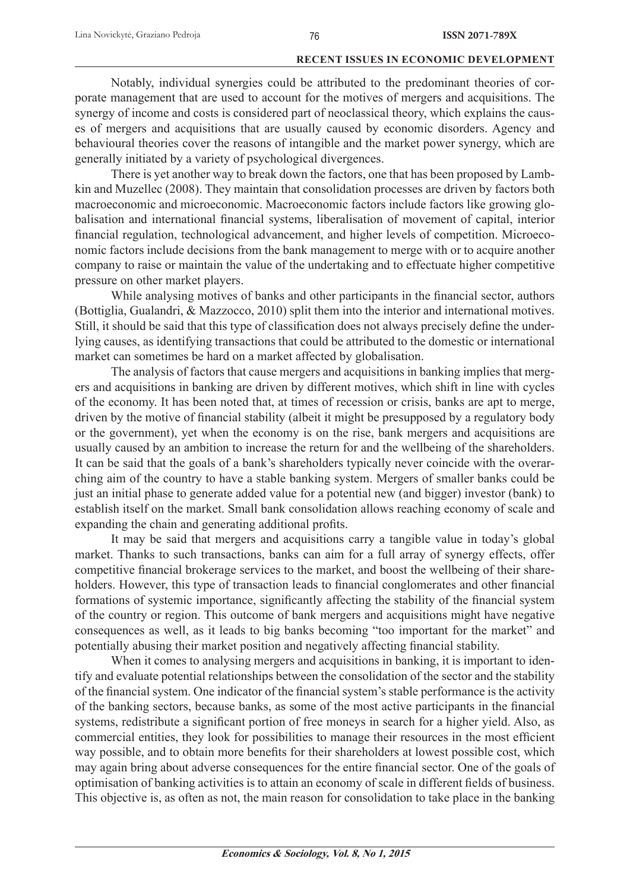Notably, individual synergies could be attributed to the predominant theories of corporate management that are used to account for the motives of mergers and acquisitions. The synergy of income and costs is considered part of neoclassical theory, which explains the causes of mergers and acquisitions that are usually caused by economic disorders. Agency and behavioural theories cover the reasons of intangible and the market power synergy, which are generally initiated by a variety of psychological divergences.

There is yet another way to break down the factors, one that has been proposed by Lambkin and Muzellec (2008). They maintain that consolidation processes are driven by factors both macroeconomic and microeconomic. Macroeconomic factors include factors like growing globalisation and international financial systems, liberalisation of movement of capital, interior financial regulation, technological advancement, and higher levels of competition. Microeconomic factors include decisions from the bank management to merge with or to acquire another company to raise or maintain the value of the undertaking and to effectuate higher competitive pressure on other market players.

While analysing motives of banks and other participants in the financial sector, authors (Bottiglia, Gualandri, & Mazzocco, 2010) split them into the interior and international motives. Still, it should be said that this type of classification does not always precisely define the underlying causes, as identifying transactions that could be attributed to the domestic or international market can sometimes be hard on a market affected by globalisation.

The analysis of factors that cause mergers and acquisitions in banking implies that mergers and acquisitions in banking are driven by different motives, which shift in line with cycles of the economy. It has been noted that, at times of recession or crisis, banks are apt to merge, driven by the motive of financial stability (albeit it might be presupposed by a regulatory body or the government), yet when the economy is on the rise, bank mergers and acquisitions are usually caused by an ambition to increase the return for and the wellbeing of the shareholders. It can be said that the goals of a bank's shareholders typically never coincide with the overarching aim of the country to have a stable banking system. Mergers of smaller banks could be just an initial phase to generate added value for a potential new (and bigger) investor (bank) to establish itself on the market. Small bank consolidation allows reaching economy of scale and expanding the chain and generating additional profits.

It may be said that mergers and acquisitions carry a tangible value in today's global market. Thanks to such transactions, banks can aim for a full array of synergy effects, offer competitive financial brokerage services to the market, and boost the wellbeing of their shareholders. However, this type of transaction leads to financial conglomerates and other financial formations of systemic importance, significantly affecting the stability of the financial system of the country or region. This outcome of bank mergers and acquisitions might have negative consequences as well, as it leads to big banks becoming "too important for the market" and potentially abusing their market position and negatively affecting financial stability.

When it comes to analysing mergers and acquisitions in banking, it is important to identify and evaluate potential relationships between the consolidation of the sector and the stability of the financial system. One indicator of the financial system's stable performance is the activity of the banking sectors, because banks, as some of the most active participants in the financial systems, redistribute a significant portion of free moneys in search for a higher yield. Also, as commercial entities, they look for possibilities to manage their resources in the most efficient way possible, and to obtain more benefits for their shareholders at lowest possible cost, which may again bring about adverse consequences for the entire financial sector. One of the goals of optimisation of banking activities is to attain an economy of scale in different fields of business. This objective is, as often as not, the main reason for consolidation to take place in the banking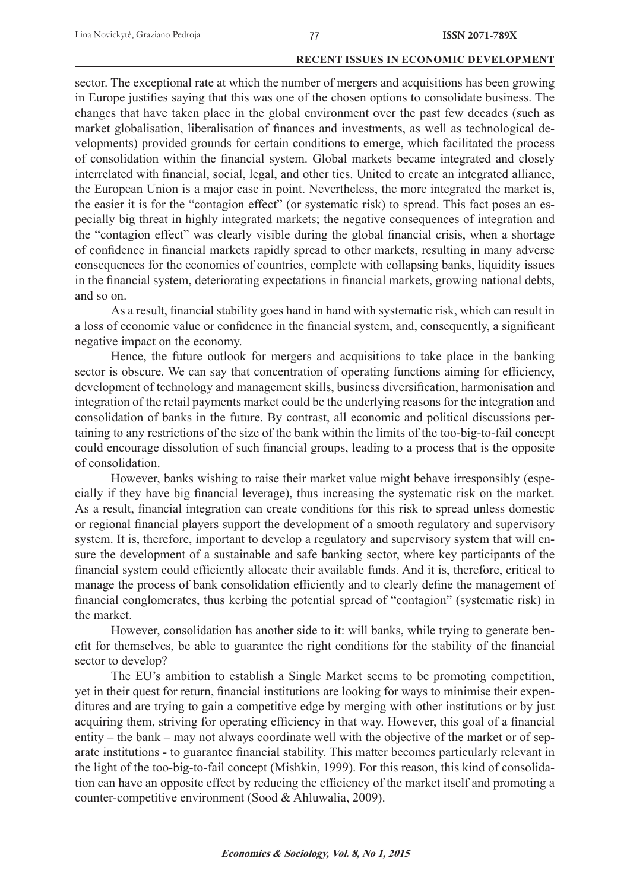sector. The exceptional rate at which the number of mergers and acquisitions has been growing in Europe justifies saying that this was one of the chosen options to consolidate business. The changes that have taken place in the global environment over the past few decades (such as market globalisation, liberalisation of finances and investments, as well as technological developments) provided grounds for certain conditions to emerge, which facilitated the process of consolidation within the financial system. Global markets became integrated and closely interrelated with financial, social, legal, and other ties. United to create an integrated alliance, the European Union is a major case in point. Nevertheless, the more integrated the market is, the easier it is for the "contagion effect" (or systematic risk) to spread. This fact poses an especially big threat in highly integrated markets; the negative consequences of integration and the "contagion effect" was clearly visible during the global financial crisis, when a shortage of confidence in financial markets rapidly spread to other markets, resulting in many adverse consequences for the economies of countries, complete with collapsing banks, liquidity issues in the financial system, deteriorating expectations in financial markets, growing national debts, and so on.

As a result, financial stability goes hand in hand with systematic risk, which can result in a loss of economic value or confidence in the financial system, and, consequently, a significant negative impact on the economy.

Hence, the future outlook for mergers and acquisitions to take place in the banking sector is obscure. We can say that concentration of operating functions aiming for efficiency, development of technology and management skills, business diversification, harmonisation and integration of the retail payments market could be the underlying reasons for the integration and consolidation of banks in the future. By contrast, all economic and political discussions pertaining to any restrictions of the size of the bank within the limits of the too-big-to-fail concept could encourage dissolution of such financial groups, leading to a process that is the opposite of consolidation.

However, banks wishing to raise their market value might behave irresponsibly (especially if they have big financial leverage), thus increasing the systematic risk on the market. As a result, financial integration can create conditions for this risk to spread unless domestic or regional financial players support the development of a smooth regulatory and supervisory system. It is, therefore, important to develop a regulatory and supervisory system that will ensure the development of a sustainable and safe banking sector, where key participants of the financial system could efficiently allocate their available funds. And it is, therefore, critical to manage the process of bank consolidation efficiently and to clearly define the management of financial conglomerates, thus kerbing the potential spread of "contagion" (systematic risk) in the market.

However, consolidation has another side to it: will banks, while trying to generate benefit for themselves, be able to guarantee the right conditions for the stability of the financial sector to develop?

The EU's ambition to establish a Single Market seems to be promoting competition, yet in their quest for return, financial institutions are looking for ways to minimise their expenditures and are trying to gain a competitive edge by merging with other institutions or by just acquiring them, striving for operating efficiency in that way. However, this goal of a financial entity – the bank – may not always coordinate well with the objective of the market or of separate institutions - to guarantee financial stability. This matter becomes particularly relevant in the light of the too-big-to-fail concept (Mishkin, 1999). For this reason, this kind of consolidation can have an opposite effect by reducing the efficiency of the market itself and promoting a counter-competitive environment (Sood & Ahluwalia, 2009).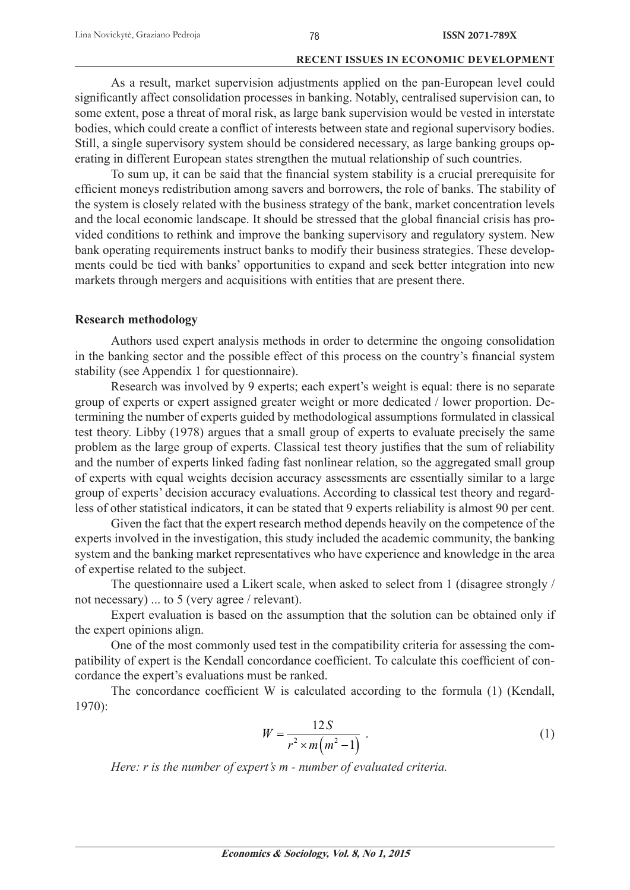As a result, market supervision adjustments applied on the pan-European level could significantly affect consolidation processes in banking. Notably, centralised supervision can, to some extent, pose a threat of moral risk, as large bank supervision would be vested in interstate bodies, which could create a conflict of interests between state and regional supervisory bodies. Still, a single supervisory system should be considered necessary, as large banking groups operating in different European states strengthen the mutual relationship of such countries.

To sum up, it can be said that the financial system stability is a crucial prerequisite for efficient moneys redistribution among savers and borrowers, the role of banks. The stability of the system is closely related with the business strategy of the bank, market concentration levels and the local economic landscape. It should be stressed that the global financial crisis has provided conditions to rethink and improve the banking supervisory and regulatory system. New bank operating requirements instruct banks to modify their business strategies. These developments could be tied with banks' opportunities to expand and seek better integration into new markets through mergers and acquisitions with entities that are present there.

# **Research methodology**

Authors used expert analysis methods in order to determine the ongoing consolidation in the banking sector and the possible effect of this process on the country's financial system stability (see Appendix 1 for questionnaire).

Research was involved by 9 experts; each expert's weight is equal: there is no separate group of experts or expert assigned greater weight or more dedicated / lower proportion. Determining the number of experts guided by methodological assumptions formulated in classical test theory. Libby (1978) argues that a small group of experts to evaluate precisely the same problem as the large group of experts. Classical test theory justifies that the sum of reliability and the number of experts linked fading fast nonlinear relation, so the aggregated small group of experts with equal weights decision accuracy assessments are essentially similar to a large group of experts' decision accuracy evaluations. According to classical test theory and regardless of other statistical indicators, it can be stated that 9 experts reliability is almost 90 per cent.

Given the fact that the expert research method depends heavily on the competence of the experts involved in the investigation, this study included the academic community, the banking system and the banking market representatives who have experience and knowledge in the area of expertise related to the subject.

The questionnaire used a Likert scale, when asked to select from 1 (disagree strongly / not necessary) ... to 5 (very agree / relevant).

Expert evaluation is based on the assumption that the solution can be obtained only if the expert opinions align.

One of the most commonly used test in the compatibility criteria for assessing the compatibility of expert is the Kendall concordance coefficient. To calculate this coefficient of concordance the expert's evaluations must be ranked.

The concordance coefficient W is calculated according to the formula  $(1)$  (Kendall, 1970):

$$
W = \frac{12S}{r^2 \times m\left(m^2 - 1\right)}\tag{1}
$$

*Here: r is the number of expert's m - number of evaluated criteria.*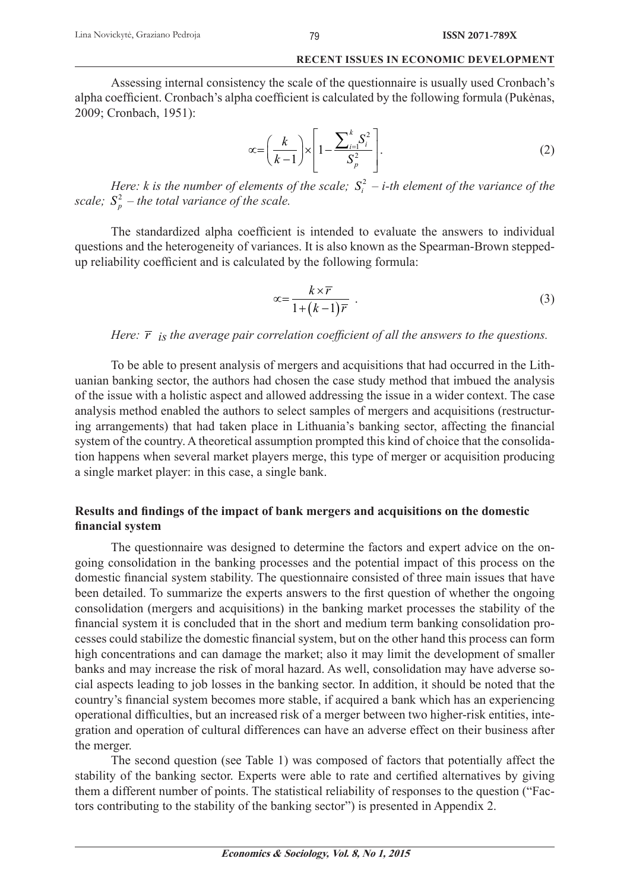#### 79

#### **RECENT ISSUES IN ECONOMIC DEVELOPMENT**

Assessing internal consistency the scale of the questionnaire is usually used Cronbach's alpha coefficient. Cronbach's alpha coefficient is calculated by the following formula (Pukėnas, 2009; Cronbach, 1951):

$$
\propto = \left(\frac{k}{k-1}\right) \times \left[1 - \frac{\sum_{i=1}^{k} S_i^2}{S_p^2}\right].\tag{2}
$$

*Here: k* is the number of elements of the scale;  $S_i^2$  – *i-th element of the variance of the scale;*  $S_p^2$  – the total variance of the scale.

The standardized alpha coefficient is intended to evaluate the answers to individual questions and the heterogeneity of variances. It is also known as the Spearman-Brown steppedup reliability coefficient and is calculated by the following formula:

$$
\alpha = \frac{k \times \overline{r}}{1 + (k - 1)\overline{r}} \tag{3}
$$

# *Here:*  $\overline{r}$  *is the average pair correlation coefficient of all the answers to the questions.*

To be able to present analysis of mergers and acquisitions that had occurred in the Lithuanian banking sector, the authors had chosen the case study method that imbued the analysis of the issue with a holistic aspect and allowed addressing the issue in a wider context. The case analysis method enabled the authors to select samples of mergers and acquisitions (restructuring arrangements) that had taken place in Lithuania's banking sector, affecting the financial system of the country. A theoretical assumption prompted this kind of choice that the consolidation happens when several market players merge, this type of merger or acquisition producing a single market player: in this case, a single bank.

# Results and findings of the impact of bank mergers and acquisitions on the domestic **financial** system

The questionnaire was designed to determine the factors and expert advice on the ongoing consolidation in the banking processes and the potential impact of this process on the domestic financial system stability. The questionnaire consisted of three main issues that have been detailed. To summarize the experts answers to the first question of whether the ongoing consolidation (mergers and acquisitions) in the banking market processes the stability of the financial system it is concluded that in the short and medium term banking consolidation processes could stabilize the domestic financial system, but on the other hand this process can form high concentrations and can damage the market; also it may limit the development of smaller banks and may increase the risk of moral hazard. As well, consolidation may have adverse social aspects leading to job losses in the banking sector. In addition, it should be noted that the country's financial system becomes more stable, if acquired a bank which has an experiencing operational difficulties, but an increased risk of a merger between two higher-risk entities, integration and operation of cultural differences can have an adverse effect on their business after the merger.

The second question (see Table 1) was composed of factors that potentially affect the stability of the banking sector. Experts were able to rate and certified alternatives by giving them a different number of points. The statistical reliability of responses to the question ("Factors contributing to the stability of the banking sector") is presented in Appendix 2.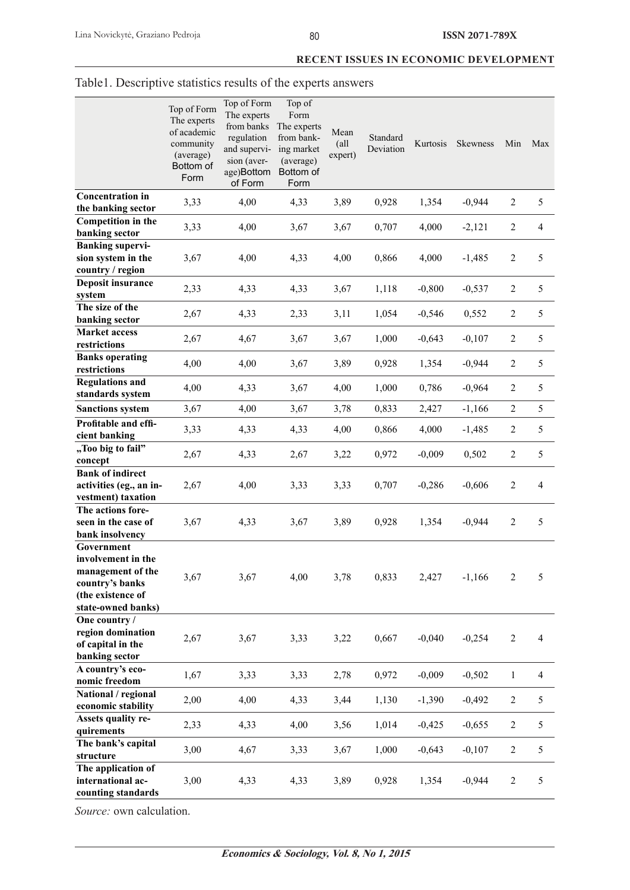|                                                                                                       | Top of Form<br>The experts<br>of academic<br>community<br>(average)<br>Bottom of<br>Form | Top of Form<br>The experts<br>from banks<br>regulation<br>and supervi-<br>sion (aver-<br>age)Bottom<br>of Form | Top of<br>Form<br>The experts<br>from bank-<br>ing market<br>(average)<br>Bottom of<br>Form | Mean<br>$\left( \text{all} \right)$<br>expert) | Standard<br>Deviation | Kurtosis | Skewness | Min              | Max            |
|-------------------------------------------------------------------------------------------------------|------------------------------------------------------------------------------------------|----------------------------------------------------------------------------------------------------------------|---------------------------------------------------------------------------------------------|------------------------------------------------|-----------------------|----------|----------|------------------|----------------|
| <b>Concentration in</b><br>the banking sector                                                         | 3,33                                                                                     | 4,00                                                                                                           | 4,33                                                                                        | 3,89                                           | 0,928                 | 1,354    | $-0,944$ | $\boldsymbol{2}$ | 5              |
| <b>Competition</b> in the<br>banking sector                                                           | 3,33                                                                                     | 4,00                                                                                                           | 3,67                                                                                        | 3,67                                           | 0,707                 | 4,000    | $-2,121$ | $\boldsymbol{2}$ | $\overline{4}$ |
| <b>Banking supervi-</b><br>sion system in the<br>country / region                                     | 3,67                                                                                     | 4,00                                                                                                           | 4,33                                                                                        | 4,00                                           | 0,866                 | 4,000    | $-1,485$ | $\boldsymbol{2}$ | 5              |
| <b>Deposit insurance</b><br>system                                                                    | 2,33                                                                                     | 4,33                                                                                                           | 4,33                                                                                        | 3,67                                           | 1,118                 | $-0,800$ | $-0,537$ | $\overline{c}$   | 5              |
| The size of the<br>banking sector                                                                     | 2,67                                                                                     | 4,33                                                                                                           | 2,33                                                                                        | 3,11                                           | 1,054                 | $-0,546$ | 0,552    | $\overline{c}$   | 5              |
| <b>Market access</b><br>restrictions                                                                  | 2,67                                                                                     | 4,67                                                                                                           | 3,67                                                                                        | 3,67                                           | 1,000                 | $-0,643$ | $-0,107$ | $\boldsymbol{2}$ | 5              |
| <b>Banks operating</b><br>restrictions                                                                | 4,00                                                                                     | 4,00                                                                                                           | 3,67                                                                                        | 3,89                                           | 0,928                 | 1,354    | $-0,944$ | $\mathbf{2}$     | 5              |
| <b>Regulations and</b><br>standards system                                                            | 4,00                                                                                     | 4,33                                                                                                           | 3,67                                                                                        | 4,00                                           | 1,000                 | 0,786    | $-0,964$ | $\mathbf{2}$     | 5              |
| <b>Sanctions system</b>                                                                               | 3,67                                                                                     | 4,00                                                                                                           | 3,67                                                                                        | 3,78                                           | 0,833                 | 2,427    | $-1,166$ | $\overline{c}$   | 5              |
| Profitable and effi-<br>cient banking                                                                 | 3,33                                                                                     | 4,33                                                                                                           | 4,33                                                                                        | 4,00                                           | 0,866                 | 4,000    | $-1,485$ | $\boldsymbol{2}$ | 5              |
| "Too big to fail"                                                                                     | 2,67                                                                                     | 4,33                                                                                                           | 2,67                                                                                        | 3,22                                           | 0,972                 | $-0,009$ | 0,502    | $\boldsymbol{2}$ | 5              |
| concept<br><b>Bank of indirect</b><br>activities (eg., an in-                                         | 2,67                                                                                     | 4,00                                                                                                           | 3,33                                                                                        | 3,33                                           | 0,707                 | $-0,286$ | $-0,606$ | $\boldsymbol{2}$ | 4              |
| vestment) taxation<br>The actions fore-<br>seen in the case of                                        | 3,67                                                                                     | 4,33                                                                                                           | 3,67                                                                                        | 3,89                                           | 0,928                 | 1,354    | $-0,944$ | $\boldsymbol{2}$ | 5              |
| bank insolvency<br>Government                                                                         |                                                                                          |                                                                                                                |                                                                                             |                                                |                       |          |          |                  |                |
| involvement in the<br>management of the<br>country's banks<br>(the existence of<br>state-owned banks) | 3,67                                                                                     | 3,67                                                                                                           | 4,00                                                                                        | 3,78                                           | 0,833                 | 2,427    | $-1,166$ | $\overline{c}$   | 5              |
| One country /<br>region domination<br>of capital in the<br>banking sector                             | 2,67                                                                                     | 3,67                                                                                                           | 3,33                                                                                        | 3,22                                           | 0,667                 | $-0,040$ | $-0,254$ | $\overline{c}$   | $\overline{4}$ |
| A country's eco-<br>nomic freedom                                                                     | 1,67                                                                                     | 3,33                                                                                                           | 3,33                                                                                        | 2,78                                           | 0,972                 | $-0,009$ | $-0,502$ | $\mathbf{1}$     | $\overline{4}$ |
| National / regional<br>economic stability                                                             | 2,00                                                                                     | 4,00                                                                                                           | 4,33                                                                                        | 3,44                                           | 1,130                 | $-1,390$ | $-0,492$ | $\overline{c}$   | 5              |
| Assets quality re-<br>quirements                                                                      | 2,33                                                                                     | 4,33                                                                                                           | 4,00                                                                                        | 3,56                                           | 1,014                 | $-0,425$ | $-0,655$ | $\mathbf{2}$     | 5              |
| The bank's capital<br>structure                                                                       | 3,00                                                                                     | 4,67                                                                                                           | 3,33                                                                                        | 3,67                                           | 1,000                 | $-0,643$ | $-0,107$ | $\mathbf{2}$     | 5              |
| The application of                                                                                    |                                                                                          |                                                                                                                |                                                                                             |                                                |                       |          |          |                  |                |

# Table1. Descriptive statistics results of the experts answers

*Source:* own calculation.

**international accounting standards** 3,00 4,33 4,33 3,89 0,928 1,354 -0,944 2 5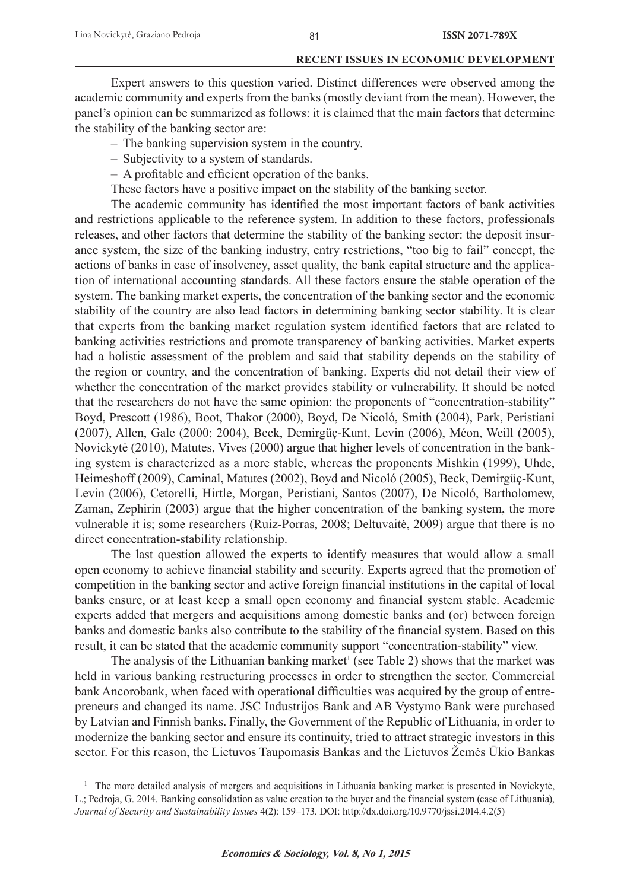Expert answers to this question varied. Distinct differences were observed among the academic community and experts from the banks (mostly deviant from the mean). However, the panel's opinion can be summarized as follows: it is claimed that the main factors that determine the stability of the banking sector are:

- The banking supervision system in the country.
- Subjectivity to a system of standards.
- $-$  A profitable and efficient operation of the banks.
- These factors have a positive impact on the stability of the banking sector.

The academic community has identified the most important factors of bank activities and restrictions applicable to the reference system. In addition to these factors, professionals releases, and other factors that determine the stability of the banking sector: the deposit insurance system, the size of the banking industry, entry restrictions, "too big to fail" concept, the actions of banks in case of insolvency, asset quality, the bank capital structure and the application of international accounting standards. All these factors ensure the stable operation of the system. The banking market experts, the concentration of the banking sector and the economic stability of the country are also lead factors in determining banking sector stability. It is clear that experts from the banking market regulation system identified factors that are related to banking activities restrictions and promote transparency of banking activities. Market experts had a holistic assessment of the problem and said that stability depends on the stability of the region or country, and the concentration of banking. Experts did not detail their view of whether the concentration of the market provides stability or vulnerability. It should be noted that the researchers do not have the same opinion: the proponents of "concentration-stability" Boyd, Prescott (1986), Boot, Thakor (2000), Boyd, De Nicoló, Smith (2004), Park, Peristiani (2007), Allen, Gale (2000; 2004), Beck, Demirgüç-Kunt, Levin (2006), Méon, Weill (2005), Novickytė (2010), Matutes, Vives (2000) argue that higher levels of concentration in the banking system is characterized as a more stable, whereas the proponents Mishkin (1999), Uhde, Heimeshoff (2009), Caminal, Matutes (2002), Boyd and Nicoló (2005), Beck, Demirgüç-Kunt, Levin (2006), Cetorelli, Hirtle, Morgan, Peristiani, Santos (2007), De Nicoló, Bartholomew, Zaman, Zephirin (2003) argue that the higher concentration of the banking system, the more vulnerable it is; some researchers (Ruiz-Porras, 2008; Deltuvaitė, 2009) argue that there is no direct concentration-stability relationship.

The last question allowed the experts to identify measures that would allow a small open economy to achieve financial stability and security. Experts agreed that the promotion of competition in the banking sector and active foreign financial institutions in the capital of local banks ensure, or at least keep a small open economy and financial system stable. Academic experts added that mergers and acquisitions among domestic banks and (or) between foreign banks and domestic banks also contribute to the stability of the financial system. Based on this result, it can be stated that the academic community support "concentration-stability" view.

The analysis of the Lithuanian banking market<sup>1</sup> (see Table 2) shows that the market was held in various banking restructuring processes in order to strengthen the sector. Commercial bank Ancorobank, when faced with operational difficulties was acquired by the group of entrepreneurs and changed its name. JSC Industrijos Bank and AB Vystymo Bank were purchased by Latvian and Finnish banks. Finally, the Government of the Republic of Lithuania, in order to modernize the banking sector and ensure its continuity, tried to attract strategic investors in this sector. For this reason, the Lietuvos Taupomasis Bankas and the Lietuvos Žemės Ūkio Bankas

<sup>&</sup>lt;sup>1</sup> The more detailed analysis of mergers and acquisitions in Lithuania banking market is presented in Novickytė, L.; Pedroja, G. 2014. Banking consolidation as value creation to the buyer and the financial system (case of Lithuania), *Journal of Security and Sustainability Issues* 4(2): 159–173. DOI: http://dx.doi.org/10.9770/jssi.2014.4.2(5)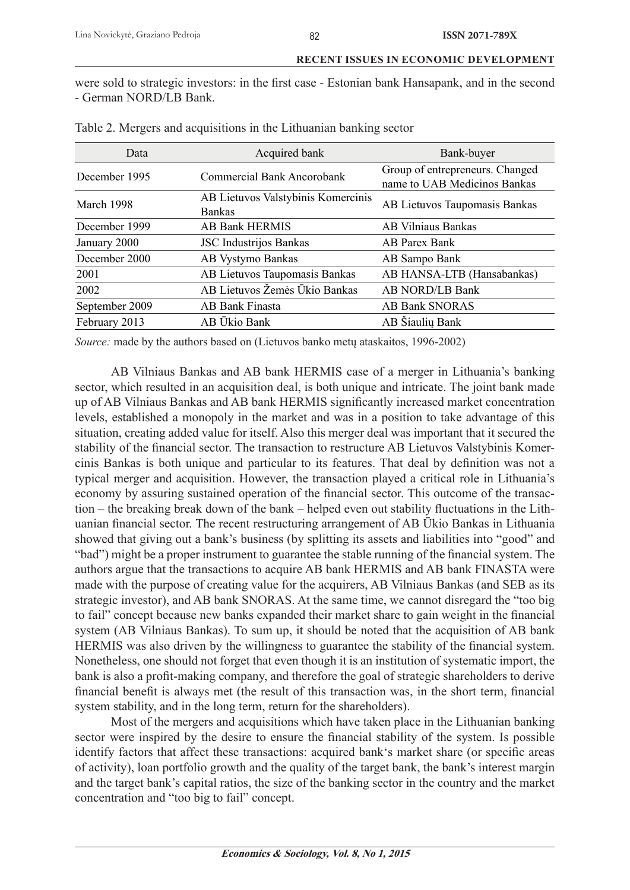were sold to strategic investors: in the first case - Estonian bank Hansapank, and in the second - German NORD/LB Bank.

| Data           | Acquired bank                                       | Bank-buyer                                                      |  |  |
|----------------|-----------------------------------------------------|-----------------------------------------------------------------|--|--|
| December 1995  | Commercial Bank Ancorobank                          | Group of entrepreneurs. Changed<br>name to UAB Medicinos Bankas |  |  |
| March 1998     | AB Lietuvos Valstybinis Komercinis<br><b>Bankas</b> | AB Lietuvos Taupomasis Bankas                                   |  |  |
| December 1999  | <b>AB Bank HERMIS</b>                               | <b>AB Vilniaus Bankas</b>                                       |  |  |
| January 2000   | <b>JSC</b> Industrijos Bankas                       | AB Parex Bank                                                   |  |  |
| December 2000  | AB Vystymo Bankas                                   | AB Sampo Bank                                                   |  |  |
| 2001           | AB Lietuvos Taupomasis Bankas                       | AB HANSA-LTB (Hansabankas)                                      |  |  |
| 2002           | AB Lietuvos Žemės Ūkio Bankas                       | <b>AB NORD/LB Bank</b>                                          |  |  |
| September 2009 | AB Bank Finasta                                     | <b>AB Bank SNORAS</b>                                           |  |  |
| February 2013  | AB Ukio Bank                                        | AB Šiaulių Bank                                                 |  |  |

| Table 2. Mergers and acquisitions in the Lithuanian banking sector |  |  |
|--------------------------------------------------------------------|--|--|
|                                                                    |  |  |

*Source:* made by the authors based on (Lietuvos banko metų ataskaitos, 1996-2002)

AB Vilniaus Bankas and AB bank HERMIS case of a merger in Lithuania's banking sector, which resulted in an acquisition deal, is both unique and intricate. The joint bank made up of AB Vilniaus Bankas and AB bank HERMIS significantly increased market concentration levels, established a monopoly in the market and was in a position to take advantage of this situation, creating added value for itself. Also this merger deal was important that it secured the stability of the financial sector. The transaction to restructure AB Lietuvos Valstybinis Komercinis Bankas is both unique and particular to its features. That deal by definition was not a typical merger and acquisition. However, the transaction played a critical role in Lithuania's economy by assuring sustained operation of the financial sector. This outcome of the transaction – the breaking break down of the bank – helped even out stability fluctuations in the Lithuanian financial sector. The recent restructuring arrangement of AB Ūkio Bankas in Lithuania showed that giving out a bank's business (by splitting its assets and liabilities into "good" and "bad") might be a proper instrument to guarantee the stable running of the financial system. The authors argue that the transactions to acquire AB bank HERMIS and AB bank FINASTA were made with the purpose of creating value for the acquirers, AB Vilniaus Bankas (and SEB as its strategic investor), and AB bank SNORAS. At the same time, we cannot disregard the "too big to fail" concept because new banks expanded their market share to gain weight in the financial system (AB Vilniaus Bankas). To sum up, it should be noted that the acquisition of AB bank HERMIS was also driven by the willingness to guarantee the stability of the financial system. Nonetheless, one should not forget that even though it is an institution of systematic import, the bank is also a profit-making company, and therefore the goal of strategic shareholders to derive financial benefit is always met (the result of this transaction was, in the short term, financial system stability, and in the long term, return for the shareholders).

Most of the mergers and acquisitions which have taken place in the Lithuanian banking sector were inspired by the desire to ensure the financial stability of the system. Is possible identify factors that affect these transactions: acquired bank's market share (or specific areas of activity), loan portfolio growth and the quality of the target bank, the bank's interest margin and the target bank's capital ratios, the size of the banking sector in the country and the market concentration and "too big to fail" concept.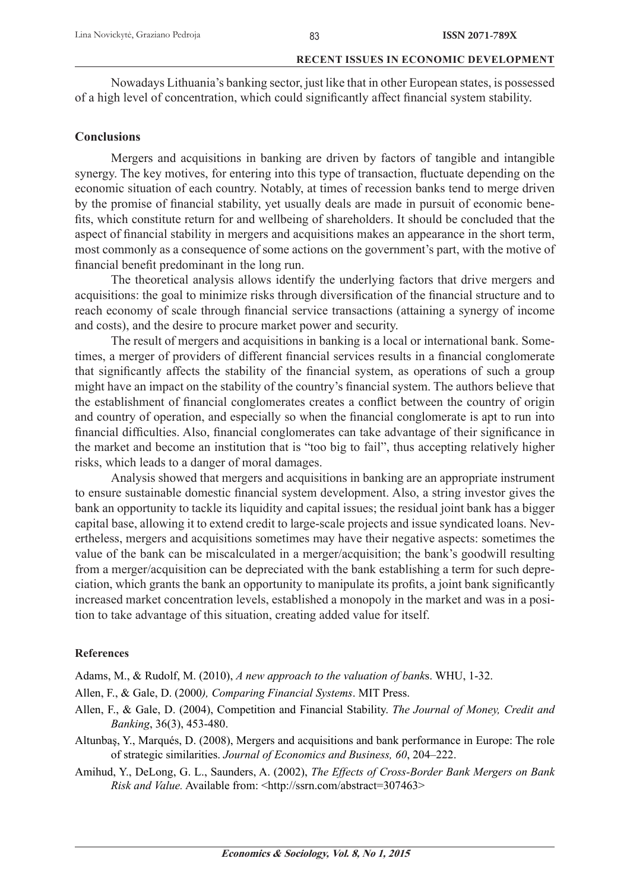Nowadays Lithuania's banking sector, just like that in other European states, is possessed of a high level of concentration, which could significantly affect financial system stability.

# **Conclusions**

Mergers and acquisitions in banking are driven by factors of tangible and intangible synergy. The key motives, for entering into this type of transaction, fluctuate depending on the economic situation of each country. Notably, at times of recession banks tend to merge driven by the promise of financial stability, yet usually deals are made in pursuit of economic benefits, which constitute return for and wellbeing of shareholders. It should be concluded that the aspect of financial stability in mergers and acquisitions makes an appearance in the short term, most commonly as a consequence of some actions on the government's part, with the motive of financial benefit predominant in the long run.

The theoretical analysis allows identify the underlying factors that drive mergers and acquisitions: the goal to minimize risks through diversification of the financial structure and to reach economy of scale through financial service transactions (attaining a synergy of income and costs), and the desire to procure market power and security.

The result of mergers and acquisitions in banking is a local or international bank. Sometimes, a merger of providers of different financial services results in a financial conglomerate that significantly affects the stability of the financial system, as operations of such a group might have an impact on the stability of the country's financial system. The authors believe that the establishment of financial conglomerates creates a conflict between the country of origin and country of operation, and especially so when the financial conglomerate is apt to run into financial difficulties. Also, financial conglomerates can take advantage of their significance in the market and become an institution that is "too big to fail", thus accepting relatively higher risks, which leads to a danger of moral damages.

Analysis showed that mergers and acquisitions in banking are an appropriate instrument to ensure sustainable domestic financial system development. Also, a string investor gives the bank an opportunity to tackle its liquidity and capital issues; the residual joint bank has a bigger capital base, allowing it to extend credit to large-scale projects and issue syndicated loans. Nevertheless, mergers and acquisitions sometimes may have their negative aspects: sometimes the value of the bank can be miscalculated in a merger/acquisition; the bank's goodwill resulting from a merger/acquisition can be depreciated with the bank establishing a term for such depreciation, which grants the bank an opportunity to manipulate its profits, a joint bank significantly increased market concentration levels, established a monopoly in the market and was in a position to take advantage of this situation, creating added value for itself.

# **References**

Adams, M., & Rudolf, M. (2010), *A new approach to the valuation of bank*s. WHU, 1-32.

- Allen, F., & Gale, D. (2000*), Comparing Financial Systems*. MIT Press.
- Allen, F., & Gale, D. (2004), Competition and Financial Stability. *The Journal of Money, Credit and Banking*, 36(3), 453-480.
- Altunbaş, Y., Marqués, D. (2008), Mergers and acquisitions and bank performance in Europe: The role of strategic similarities. *Journal of Economics and Business, 60*, 204–222.
- Amihud, Y., DeLong, G. L., Saunders, A. (2002), *The Effects of Cross-Border Bank Mergers on Bank Risk and Value.* Available from: <http://ssrn.com/abstract=307463>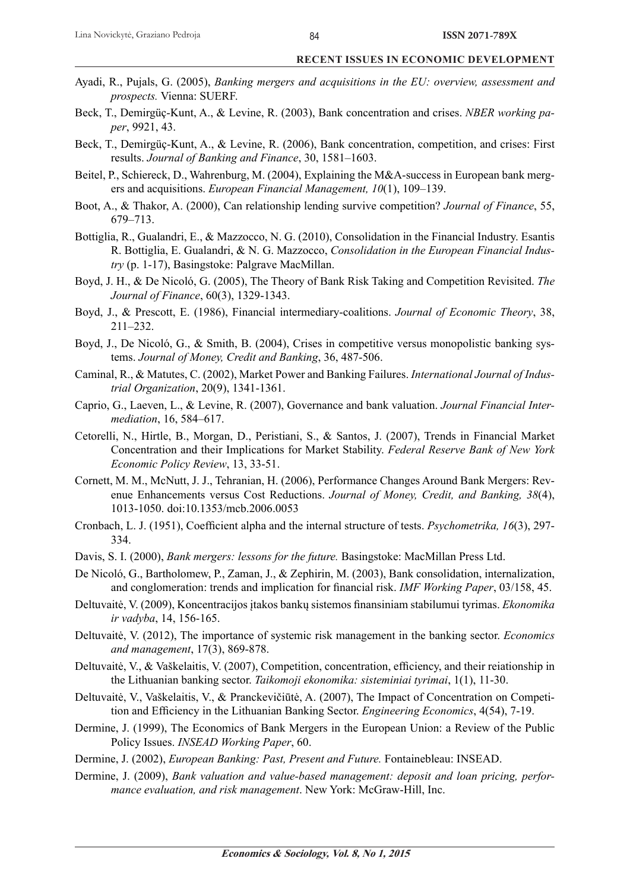- Ayadi, R., Pujals, G. (2005), *Banking mergers and acquisitions in the EU: overview, assessment and prospects.* Vienna: SUERF.
- Beck, T., Demirgüç-Kunt, A., & Levine, R. (2003), Bank concentration and crises. *NBER working paper*, 9921, 43.
- Beck, T., Demirgüç-Kunt, A., & Levine, R. (2006), Bank concentration, competition, and crises: First results. *Journal of Banking and Finance*, 30, 1581–1603.
- Beitel, P., Schiereck, D., Wahrenburg, M. (2004), Explaining the M&A-success in European bank mergers and acquisitions. *European Financial Management, 10*(1), 109–139.
- Boot, A., & Thakor, A. (2000), Can relationship lending survive competition? *Journal of Finance*, 55, 679–713.
- Bottiglia, R., Gualandri, E., & Mazzocco, N. G. (2010), Consolidation in the Financial Industry. Esantis R. Bottiglia, E. Gualandri, & N. G. Mazzocco, *Consolidation in the European Financial Industry* (p. 1-17), Basingstoke: Palgrave MacMillan.
- Boyd, J. H., & De Nicoló, G. (2005), The Theory of Bank Risk Taking and Competition Revisited. *The Journal of Finance*, 60(3), 1329-1343.
- Boyd, J., & Prescott, E. (1986), Financial intermediary-coalitions. *Journal of Economic Theory*, 38, 211–232.
- Boyd, J., De Nicoló, G., & Smith, B. (2004), Crises in competitive versus monopolistic banking systems. *Journal of Money, Credit and Banking*, 36, 487-506.
- Caminal, R., & Matutes, C. (2002), Market Power and Banking Failures. *International Journal of Industrial Organization*, 20(9), 1341-1361.
- Caprio, G., Laeven, L., & Levine, R. (2007), Governance and bank valuation. *Journal Financial Intermediation*, 16, 584–617.
- Cetorelli, N., Hirtle, B., Morgan, D., Peristiani, S., & Santos, J. (2007), Trends in Financial Market Concentration and their Implications for Market Stability. *Federal Reserve Bank of New York Economic Policy Review*, 13, 33-51.
- Cornett, M. M., McNutt, J. J., Tehranian, H. (2006), Performance Changes Around Bank Mergers: Revenue Enhancements versus Cost Reductions. *Journal of Money, Credit, and Banking, 38*(4), 1013-1050. doi:10.1353/mcb.2006.0053
- Cronbach, L. J. (1951), Coefficient alpha and the internal structure of tests. *Psychometrika*, 16(3), 297-334.
- Davis, S. I. (2000), *Bank mergers: lessons for the future.* Basingstoke: MacMillan Press Ltd.
- De Nicoló, G., Bartholomew, P., Zaman, J., & Zephirin, M. (2003), Bank consolidation, internalization, and conglomeration: trends and implication for financial risk. *IMF Working Paper*, 03/158, 45.
- Deltuvaitė, V. (2009), Koncentracijos įtakos bankų sistemos finansiniam stabilumui tyrimas. *Ekonomika ir vadyba*, 14, 156-165.
- Deltuvaitė, V. (2012), The importance of systemic risk management in the banking sector. *Economics and management*, 17(3), 869-878.
- Deltuvaitė, V., & Vaškelaitis, V. (2007), Competition, concentration, efficiency, and their reiationship in the Lithuanian banking sector. *Taikomoji ekonomika: sisteminiai tyrimai*, 1(1), 11-30.
- Deltuvaitė, V., Vaškelaitis, V., & Pranckevičiūtė, A. (2007), The Impact of Concentration on Competition and Efficiency in the Lithuanian Banking Sector. *Engineering Economics*, 4(54), 7-19.
- Dermine, J. (1999), The Economics of Bank Mergers in the European Union: a Review of the Public Policy Issues. *INSEAD Working Paper*, 60.
- Dermine, J. (2002), *European Banking: Past, Present and Future.* Fontainebleau: INSEAD.
- Dermine, J. (2009), *Bank valuation and value-based management: deposit and loan pricing, performance evaluation, and risk management*. New York: McGraw-Hill, Inc.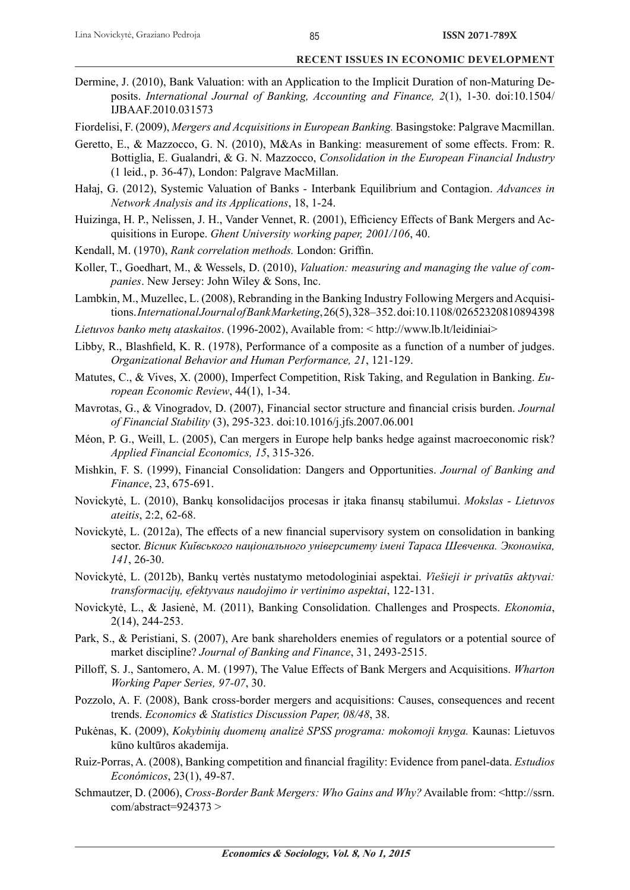- Dermine, J. (2010), Bank Valuation: with an Application to the Implicit Duration of non-Maturing Deposits. *International Journal of Banking, Accounting and Finance, 2*(1), 1-30. doi:10.1504/ IJBAAF.2010.031573
- Fiordelisi, F. (2009), *Mergers and Acquisitions in European Banking.* Basingstoke: Palgrave Macmillan.
- Geretto, E., & Mazzocco, G. N. (2010), M&As in Banking: measurement of some effects. From: R. Bottiglia, E. Gualandri, & G. N. Mazzocco, *Consolidation in the European Financial Industry* (1 leid., p. 36-47), London: Palgrave MacMillan.
- Hałaj, G. (2012), Systemic Valuation of Banks Interbank Equilibrium and Contagion. *Advances in Network Analysis and its Applications*, 18, 1-24.
- Huizinga, H. P., Nelissen, J. H., Vander Vennet, R. (2001), Efficiency Effects of Bank Mergers and Acquisitions in Europe. *Ghent University working paper, 2001/106*, 40.
- Kendall, M. (1970), *Rank correlation methods*. London: Griffin.
- Koller, T., Goedhart, M., & Wessels, D. (2010), *Valuation: measuring and managing the value of companies*. New Jersey: John Wiley & Sons, Inc.
- Lambkin, M., Muzellec, L. (2008), Rebranding in the Banking Industry Following Mergers and Acquisitions. *International Journal of Bank Marketing*, 26(5), 328–352. doi:10.1108/02652320810894398
- *Lietuvos banko metų ataskaitos*. (1996-2002), Available from: < http://www.lb.lt/leidiniai>
- Libby, R., Blashfield, K. R. (1978), Performance of a composite as a function of a number of judges. *Organizational Behavior and Human Performance, 21*, 121-129.
- Matutes, C., & Vives, X. (2000), Imperfect Competition, Risk Taking, and Regulation in Banking. *European Economic Review*, 44(1), 1-34.
- Mavrotas, G., & Vinogradov, D. (2007), Financial sector structure and financial crisis burden. *Journal of Financial Stability* (3), 295-323. doi:10.1016/j.jfs.2007.06.001
- Méon, P. G., Weill, L. (2005), Can mergers in Europe help banks hedge against macroeconomic risk? *Applied Financial Economics, 15*, 315-326.
- Mishkin, F. S. (1999), Financial Consolidation: Dangers and Opportunities. *Journal of Banking and Finance*, 23, 675-691.
- Novickytė, L. (2010), Bankų konsolidacijos procesas ir įtaka fi nansų stabilumui. *Mokslas Lietuvos ateitis*, 2:2, 62-68.
- Novickytė, L. (2012a), The effects of a new financial supervisory system on consolidation in banking sector. Вісник Київського національного університету імені Тараса Шевченка. Экономіка, *141*, 26-30.
- Novickytė, L. (2012b), Bankų vertės nustatymo metodologiniai aspektai. *Viešieji ir privatūs aktyvai: transformacijų, efektyvaus naudojimo ir vertinimo aspektai*, 122-131.
- Novickytė, L., & Jasienė, M. (2011), Banking Consolidation. Challenges and Prospects. *Ekonomia*, 2(14), 244-253.
- Park, S., & Peristiani, S. (2007), Are bank shareholders enemies of regulators or a potential source of market discipline? *Journal of Banking and Finance*, 31, 2493-2515.
- Pilloff, S. J., Santomero, A. M. (1997), The Value Effects of Bank Mergers and Acquisitions. *Wharton Working Paper Series, 97-07*, 30.
- Pozzolo, A. F. (2008), Bank cross-border mergers and acquisitions: Causes, consequences and recent trends. *Economics & Statistics Discussion Paper, 08/48*, 38.
- Pukėnas, K. (2009), *Kokybinių duomenų analizė SPSS programa: mokomoji knyga.* Kaunas: Lietuvos kūno kultūros akademija.
- Ruiz-Porras, A. (2008), Banking competition and financial fragility: Evidence from panel-data. *Estudios Económicos*, 23(1), 49-87.
- Schmautzer, D. (2006), *Cross-Border Bank Mergers: Who Gains and Why?* Available from: <http://ssrn. com/abstract=924373 >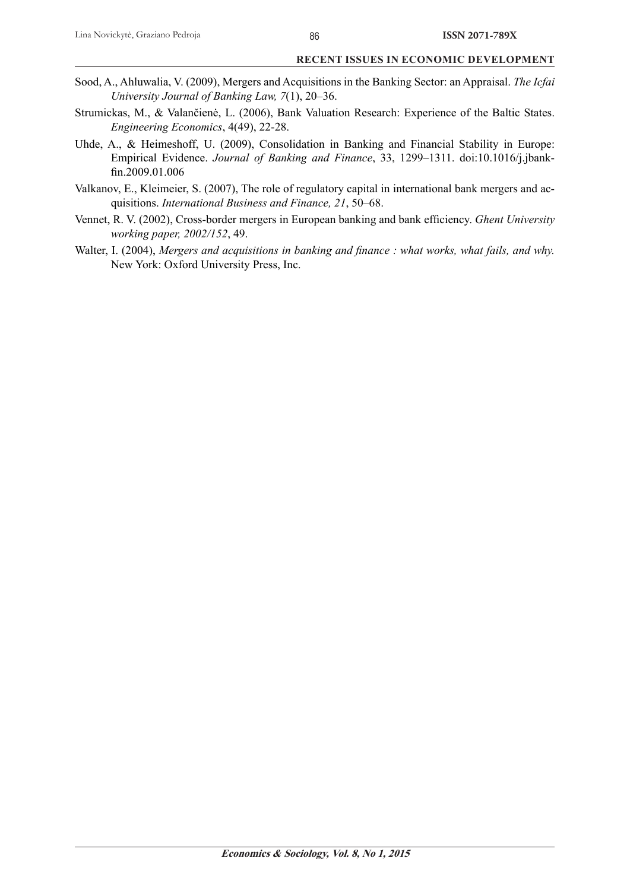- Sood, A., Ahluwalia, V. (2009), Mergers and Acquisitions in the Banking Sector: an Appraisal. *The Icfai University Journal of Banking Law, 7*(1), 20–36.
- Strumickas, M., & Valančienė, L. (2006), Bank Valuation Research: Experience of the Baltic States. *Engineering Economics*, 4(49), 22-28.
- Uhde, A., & Heimeshoff, U. (2009), Consolidation in Banking and Financial Stability in Europe: Empirical Evidence. *Journal of Banking and Finance*, 33, 1299–1311. doi:10.1016/j.jbankfin.2009.01.006
- Valkanov, E., Kleimeier, S. (2007), The role of regulatory capital in international bank mergers and acquisitions. *International Business and Finance, 21*, 50–68.
- Vennet, R. V. (2002), Cross-border mergers in European banking and bank efficiency. *Ghent University working paper, 2002/152*, 49.
- Walter, I. (2004), *Mergers and acquisitions in banking and finance : what works, what fails, and why.* New York: Oxford University Press, Inc.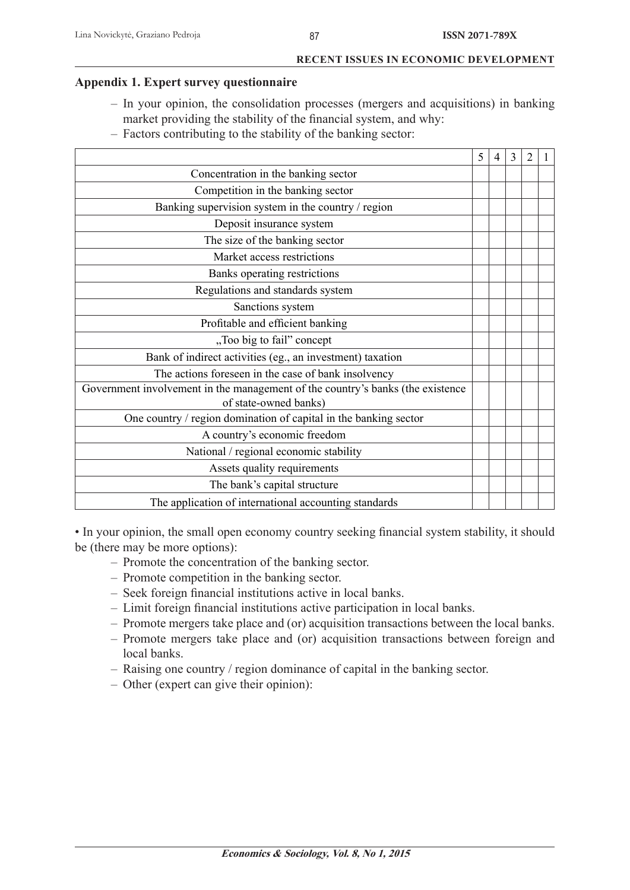# **Appendix 1. Expert survey questionnaire**

- In your opinion, the consolidation processes (mergers and acquisitions) in banking market providing the stability of the financial system, and why:
- Factors contributing to the stability of the banking sector:

|                                                                                                         | 5 | $\overline{4}$ | 3 | 2 |  |
|---------------------------------------------------------------------------------------------------------|---|----------------|---|---|--|
| Concentration in the banking sector                                                                     |   |                |   |   |  |
| Competition in the banking sector                                                                       |   |                |   |   |  |
| Banking supervision system in the country / region                                                      |   |                |   |   |  |
| Deposit insurance system                                                                                |   |                |   |   |  |
| The size of the banking sector                                                                          |   |                |   |   |  |
| Market access restrictions                                                                              |   |                |   |   |  |
| Banks operating restrictions                                                                            |   |                |   |   |  |
| Regulations and standards system                                                                        |   |                |   |   |  |
| Sanctions system                                                                                        |   |                |   |   |  |
| Profitable and efficient banking                                                                        |   |                |   |   |  |
| "Too big to fail" concept                                                                               |   |                |   |   |  |
| Bank of indirect activities (eg., an investment) taxation                                               |   |                |   |   |  |
| The actions foreseen in the case of bank insolvency                                                     |   |                |   |   |  |
| Government involvement in the management of the country's banks (the existence<br>of state-owned banks) |   |                |   |   |  |
| One country / region domination of capital in the banking sector                                        |   |                |   |   |  |
| A country's economic freedom                                                                            |   |                |   |   |  |
| National / regional economic stability                                                                  |   |                |   |   |  |
| Assets quality requirements                                                                             |   |                |   |   |  |
| The bank's capital structure                                                                            |   |                |   |   |  |
| The application of international accounting standards                                                   |   |                |   |   |  |

• In your opinion, the small open economy country seeking financial system stability, it should be (there may be more options):

- Promote the concentration of the banking sector.
- Promote competition in the banking sector.
- $-$  Seek foreign financial institutions active in local banks.
- $-$  Limit foreign financial institutions active participation in local banks.
- Promote mergers take place and (or) acquisition transactions between the local banks.
- Promote mergers take place and (or) acquisition transactions between foreign and local banks.
- Raising one country / region dominance of capital in the banking sector.
- Other (expert can give their opinion):